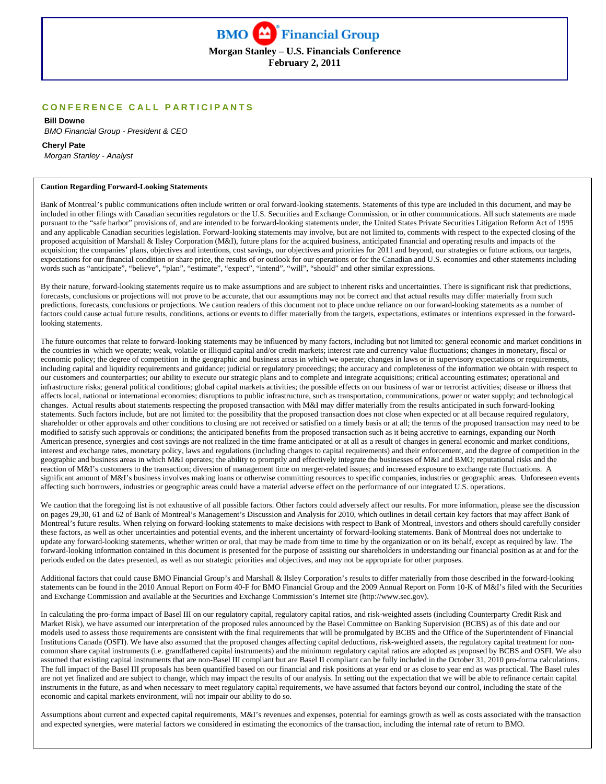

# **CONFERENCE CALL PARTICIPANTS**

 **Bill Downe**   *BMO Financial Group - President & CEO* 

# **Cheryl Pate**

 *Morgan Stanley - Analyst* 

#### **Caution Regarding Forward-Looking Statements**

Bank of Montreal's public communications often include written or oral forward-looking statements. Statements of this type are included in this document, and may be included in other filings with Canadian securities regulators or the U.S. Securities and Exchange Commission, or in other communications. All such statements are made pursuant to the "safe harbor" provisions of, and are intended to be forward-looking statements under, the United States Private Securities Litigation Reform Act of 1995 and any applicable Canadian securities legislation. Forward-looking statements may involve, but are not limited to, comments with respect to the expected closing of the proposed acquisition of Marshall & Ilsley Corporation (M&I), future plans for the acquired business, anticipated financial and operating results and impacts of the acquisition; the companies' plans, objectives and intentions, cost savings, our objectives and priorities for 2011 and beyond, our strategies or future actions, our targets, expectations for our financial condition or share price, the results of or outlook for our operations or for the Canadian and U.S. economies and other statements including words such as "anticipate", "believe", "plan", "estimate", "expect", "intend", "will", "should" and other similar expressions.

By their nature, forward-looking statements require us to make assumptions and are subject to inherent risks and uncertainties. There is significant risk that predictions, forecasts, conclusions or projections will not prove to be accurate, that our assumptions may not be correct and that actual results may differ materially from such predictions, forecasts, conclusions or projections. We caution readers of this document not to place undue reliance on our forward-looking statements as a number of factors could cause actual future results, conditions, actions or events to differ materially from the targets, expectations, estimates or intentions expressed in the forwardlooking statements.

The future outcomes that relate to forward-looking statements may be influenced by many factors, including but not limited to: general economic and market conditions in the countries in which we operate; weak, volatile or illiquid capital and/or credit markets; interest rate and currency value fluctuations; changes in monetary, fiscal or economic policy; the degree of competition in the geographic and business areas in which we operate; changes in laws or in supervisory expectations or requirements, including capital and liquidity requirements and guidance; judicial or regulatory proceedings; the accuracy and completeness of the information we obtain with respect to our customers and counterparties; our ability to execute our strategic plans and to complete and integrate acquisitions; critical accounting estimates; operational and infrastructure risks; general political conditions; global capital markets activities; the possible effects on our business of war or terrorist activities; disease or illness that affects local, national or international economies; disruptions to public infrastructure, such as transportation, communications, power or water supply; and technological changes. Actual results about statements respecting the proposed transaction with M&I may differ materially from the results anticipated in such forward-looking statements. Such factors include, but are not limited to: the possibility that the proposed transaction does not close when expected or at all because required regulatory, shareholder or other approvals and other conditions to closing are not received or satisfied on a timely basis or at all; the terms of the proposed transaction may need to be modified to satisfy such approvals or conditions; the anticipated benefits from the proposed transaction such as it being accretive to earnings, expanding our North American presence, synergies and cost savings are not realized in the time frame anticipated or at all as a result of changes in general economic and market conditions, interest and exchange rates, monetary policy, laws and regulations (including changes to capital requirements) and their enforcement, and the degree of competition in the geographic and business areas in which M&I operates; the ability to promptly and effectively integrate the businesses of M&I and BMO; reputational risks and the reaction of M&I's customers to the transaction; diversion of management time on merger-related issues; and increased exposure to exchange rate fluctuations. A significant amount of M&I's business involves making loans or otherwise committing resources to specific companies, industries or geographic areas. Unforeseen events affecting such borrowers, industries or geographic areas could have a material adverse effect on the performance of our integrated U.S. operations.

We caution that the foregoing list is not exhaustive of all possible factors. Other factors could adversely affect our results. For more information, please see the discussion on pages 29,30, 61 and 62 of Bank of Montreal's Management's Discussion and Analysis for 2010, which outlines in detail certain key factors that may affect Bank of Montreal's future results. When relying on forward-looking statements to make decisions with respect to Bank of Montreal, investors and others should carefully consider these factors, as well as other uncertainties and potential events, and the inherent uncertainty of forward-looking statements. Bank of Montreal does not undertake to update any forward-looking statements, whether written or oral, that may be made from time to time by the organization or on its behalf, except as required by law. The forward-looking information contained in this document is presented for the purpose of assisting our shareholders in understanding our financial position as at and for the periods ended on the dates presented, as well as our strategic priorities and objectives, and may not be appropriate for other purposes.

Additional factors that could cause BMO Financial Group's and Marshall & Ilsley Corporation's results to differ materially from those described in the forward-looking statements can be found in the 2010 Annual Report on Form 40-F for BMO Financial Group and the 2009 Annual Report on Form 10-K of M&I's filed with the Securities and Exchange Commission and available at the Securities and Exchange Commission's Internet site (http://www.sec.gov).

In calculating the pro-forma impact of Basel III on our regulatory capital, regulatory capital ratios, and risk-weighted assets (including Counterparty Credit Risk and Market Risk), we have assumed our interpretation of the proposed rules announced by the Basel Committee on Banking Supervision (BCBS) as of this date and our models used to assess those requirements are consistent with the final requirements that will be promulgated by BCBS and the Office of the Superintendent of Financial Institutions Canada (OSFI). We have also assumed that the proposed changes affecting capital deductions, risk-weighted assets, the regulatory capital treatment for noncommon share capital instruments (i.e. grandfathered capital instruments) and the minimum regulatory capital ratios are adopted as proposed by BCBS and OSFI. We also assumed that existing capital instruments that are non-Basel III compliant but are Basel II compliant can be fully included in the October 31, 2010 pro-forma calculations. The full impact of the Basel III proposals has been quantified based on our financial and risk positions at year end or as close to year end as was practical. The Basel rules are not yet finalized and are subject to change, which may impact the results of our analysis. In setting out the expectation that we will be able to refinance certain capital instruments in the future, as and when necessary to meet regulatory capital requirements, we have assumed that factors beyond our control, including the state of the economic and capital markets environment, will not impair our ability to do so.

Assumptions about current and expected capital requirements, M&I's revenues and expenses, potential for earnings growth as well as costs associated with the transaction and expected synergies, were material factors we considered in estimating the economics of the transaction, including the internal rate of return to BMO.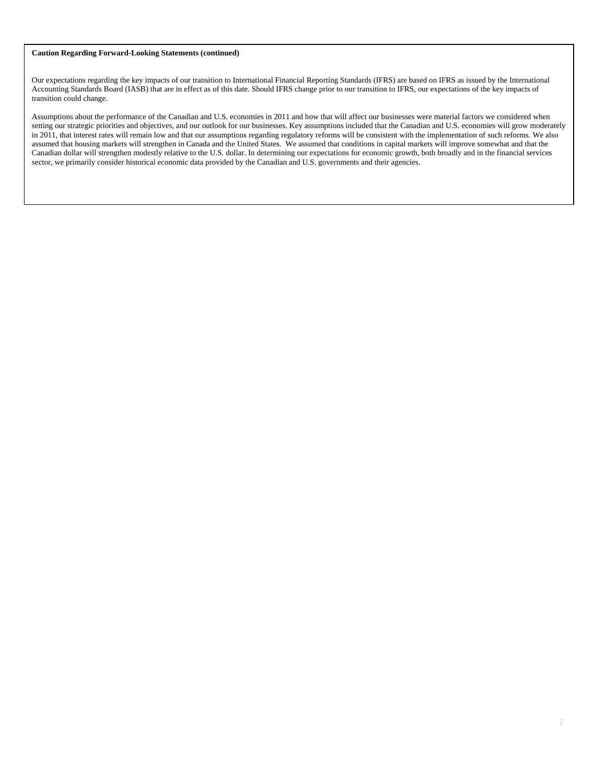# **Caution Regarding Forward-Looking Statements (continued)**

Our expectations regarding the key impacts of our transition to International Financial Reporting Standards (IFRS) are based on IFRS as issued by the International Accounting Standards Board (IASB) that are in effect as of this date. Should IFRS change prior to our transition to IFRS, our expectations of the key impacts of transition could change.

Assumptions about the performance of the Canadian and U.S. economies in 2011 and how that will affect our businesses were material factors we considered when setting our strategic priorities and objectives, and our outlook for our businesses. Key assumptions included that the Canadian and U.S. economies will grow moderately in 2011, that interest rates will remain low and that our assumptions regarding regulatory reforms will be consistent with the implementation of such reforms. We also assumed that housing markets will strengthen in Canada and the United States. We assumed that conditions in capital markets will improve somewhat and that the Canadian dollar will strengthen modestly relative to the U.S. dollar. In determining our expectations for economic growth, both broadly and in the financial services sector, we primarily consider historical economic data provided by the Canadian and U.S. governments and their agencies.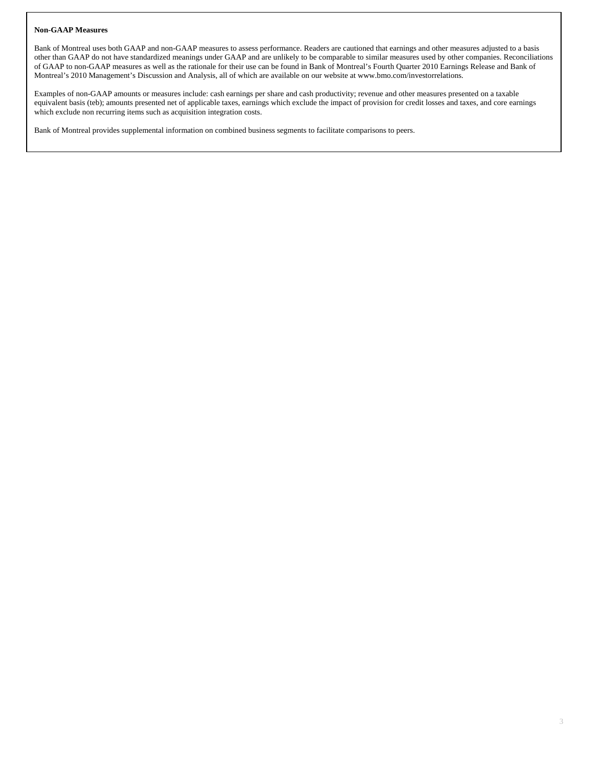# **Non-GAAP Measures**

Bank of Montreal uses both GAAP and non-GAAP measures to assess performance. Readers are cautioned that earnings and other measures adjusted to a basis other than GAAP do not have standardized meanings under GAAP and are unlikely to be comparable to similar measures used by other companies. Reconciliations of GAAP to non-GAAP measures as well as the rationale for their use can be found in Bank of Montreal's Fourth Quarter 2010 Earnings Release and Bank of Montreal's 2010 Management's Discussion and Analysis, all of which are available on our website at www.bmo.com/investorrelations.

Examples of non-GAAP amounts or measures include: cash earnings per share and cash productivity; revenue and other measures presented on a taxable equivalent basis (teb); amounts presented net of applicable taxes, earnings which exclude the impact of provision for credit losses and taxes, and core earnings which exclude non recurring items such as acquisition integration costs.

Bank of Montreal provides supplemental information on combined business segments to facilitate comparisons to peers.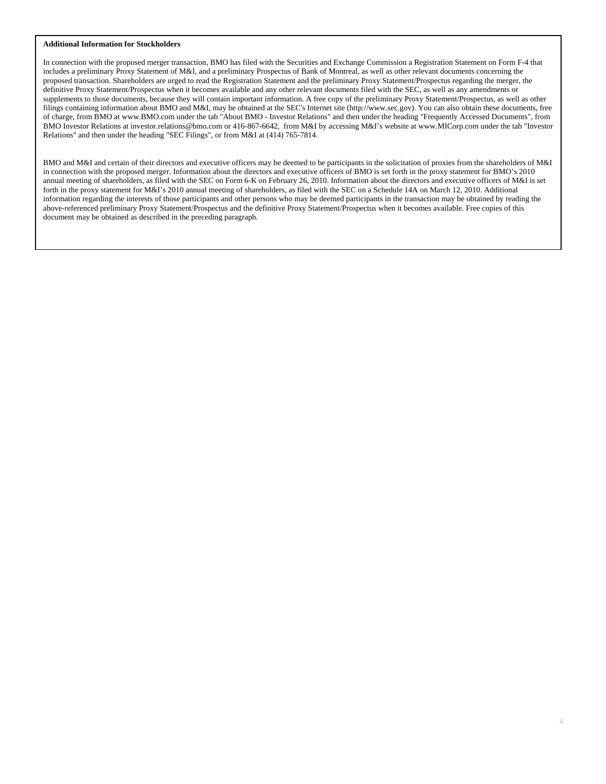#### **Additional Information for Stockholders**

In connection with the proposed merger transaction, BMO has filed with the Securities and Exchange Commission a Registration Statement on Form F-4 that includes a preliminary Proxy Statement of M&I, and a preliminary Prospectus of Bank of Montreal, as well as other relevant documents concerning the proposed transaction. Shareholders are urged to read the Registration Statement and the preliminary Proxy Statement/Prospectus regarding the merger, the definitive Proxy Statement/Prospectus when it becomes available and any other relevant documents filed with the SEC, as well as any amendments or supplements to those documents, because they will contain important information. A free copy of the preliminary Proxy Statement/Prospectus, as well as other filings containing information about BMO and M&I, may be obtained at the SEC's Internet site (http://www.sec.gov). You can also obtain these documents, free of charge, from BMO at www.BMO.com under the tab "About BMO - Investor Relations" and then under the heading "Frequently Accessed Documents", from BMO Investor Relations at investor.relations@bmo.com or 416-867-6642, from M&I by accessing M&I's website at www.MICorp.com under the tab "Investor Relations" and then under the heading "SEC Filings", or from M&I at (414) 765-7814.

BMO and M&I and certain of their directors and executive officers may be deemed to be participants in the solicitation of proxies from the shareholders of M&I in connection with the proposed merger. Information about the directors and executive officers of BMO is set forth in the proxy statement for BMO's 2010 annual meeting of shareholders, as filed with the SEC on Form 6-K on February 26, 2010. Information about the directors and executive officers of M&I is set forth in the proxy statement for M&I's 2010 annual meeting of shareholders, as filed with the SEC on a Schedule 14A on March 12, 2010. Additional information regarding the interests of those participants and other persons who may be deemed participants in the transaction may be obtained by reading the above-referenced preliminary Proxy Statement/Prospectus and the definitive Proxy Statement/Prospectus when it becomes available. Free copies of this document may be obtained as described in the preceding paragraph.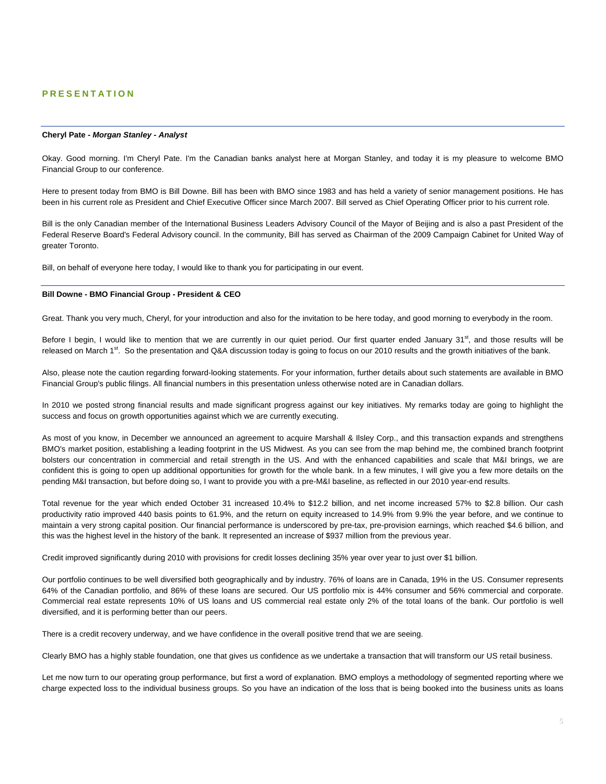# **PRESENTATION**

#### **Cheryl Pate -** *Morgan Stanley - Analyst*

Okay. Good morning. I'm Cheryl Pate. I'm the Canadian banks analyst here at Morgan Stanley, and today it is my pleasure to welcome BMO Financial Group to our conference.

Here to present today from BMO is Bill Downe. Bill has been with BMO since 1983 and has held a variety of senior management positions. He has been in his current role as President and Chief Executive Officer since March 2007. Bill served as Chief Operating Officer prior to his current role.

Bill is the only Canadian member of the International Business Leaders Advisory Council of the Mayor of Beijing and is also a past President of the Federal Reserve Board's Federal Advisory council. In the community, Bill has served as Chairman of the 2009 Campaign Cabinet for United Way of greater Toronto.

Bill, on behalf of everyone here today, I would like to thank you for participating in our event.

# **Bill Downe - BMO Financial Group - President & CEO**

Great. Thank you very much, Cheryl, for your introduction and also for the invitation to be here today, and good morning to everybody in the room.

Before I begin, I would like to mention that we are currently in our quiet period. Our first quarter ended January  $31<sup>st</sup>$ , and those results will be released on March 1<sup>st</sup>. So the presentation and Q&A discussion today is going to focus on our 2010 results and the growth initiatives of the bank.

Also, please note the caution regarding forward-looking statements. For your information, further details about such statements are available in BMO Financial Group's public filings. All financial numbers in this presentation unless otherwise noted are in Canadian dollars.

In 2010 we posted strong financial results and made significant progress against our key initiatives. My remarks today are going to highlight the success and focus on growth opportunities against which we are currently executing.

As most of you know, in December we announced an agreement to acquire Marshall & Ilsley Corp., and this transaction expands and strengthens BMO's market position, establishing a leading footprint in the US Midwest. As you can see from the map behind me, the combined branch footprint bolsters our concentration in commercial and retail strength in the US. And with the enhanced capabilities and scale that M&I brings, we are confident this is going to open up additional opportunities for growth for the whole bank. In a few minutes, I will give you a few more details on the pending M&I transaction, but before doing so, I want to provide you with a pre-M&I baseline, as reflected in our 2010 year-end results.

Total revenue for the year which ended October 31 increased 10.4% to \$12.2 billion, and net income increased 57% to \$2.8 billion. Our cash productivity ratio improved 440 basis points to 61.9%, and the return on equity increased to 14.9% from 9.9% the year before, and we continue to maintain a very strong capital position. Our financial performance is underscored by pre-tax, pre-provision earnings, which reached \$4.6 billion, and this was the highest level in the history of the bank. It represented an increase of \$937 million from the previous year.

Credit improved significantly during 2010 with provisions for credit losses declining 35% year over year to just over \$1 billion.

Our portfolio continues to be well diversified both geographically and by industry. 76% of loans are in Canada, 19% in the US. Consumer represents 64% of the Canadian portfolio, and 86% of these loans are secured. Our US portfolio mix is 44% consumer and 56% commercial and corporate. Commercial real estate represents 10% of US loans and US commercial real estate only 2% of the total loans of the bank. Our portfolio is well diversified, and it is performing better than our peers.

There is a credit recovery underway, and we have confidence in the overall positive trend that we are seeing.

Clearly BMO has a highly stable foundation, one that gives us confidence as we undertake a transaction that will transform our US retail business.

Let me now turn to our operating group performance, but first a word of explanation. BMO employs a methodology of segmented reporting where we charge expected loss to the individual business groups. So you have an indication of the loss that is being booked into the business units as loans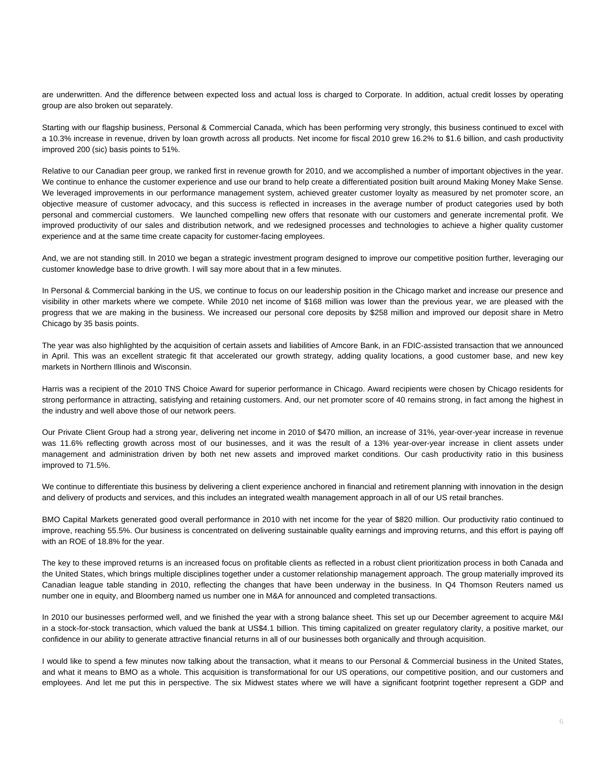are underwritten. And the difference between expected loss and actual loss is charged to Corporate. In addition, actual credit losses by operating group are also broken out separately.

Starting with our flagship business, Personal & Commercial Canada, which has been performing very strongly, this business continued to excel with a 10.3% increase in revenue, driven by loan growth across all products. Net income for fiscal 2010 grew 16.2% to \$1.6 billion, and cash productivity improved 200 (sic) basis points to 51%.

Relative to our Canadian peer group, we ranked first in revenue growth for 2010, and we accomplished a number of important objectives in the year. We continue to enhance the customer experience and use our brand to help create a differentiated position built around Making Money Make Sense. We leveraged improvements in our performance management system, achieved greater customer loyalty as measured by net promoter score, an objective measure of customer advocacy, and this success is reflected in increases in the average number of product categories used by both personal and commercial customers. We launched compelling new offers that resonate with our customers and generate incremental profit. We improved productivity of our sales and distribution network, and we redesigned processes and technologies to achieve a higher quality customer experience and at the same time create capacity for customer-facing employees.

And, we are not standing still. In 2010 we began a strategic investment program designed to improve our competitive position further, leveraging our customer knowledge base to drive growth. I will say more about that in a few minutes.

In Personal & Commercial banking in the US, we continue to focus on our leadership position in the Chicago market and increase our presence and visibility in other markets where we compete. While 2010 net income of \$168 million was lower than the previous year, we are pleased with the progress that we are making in the business. We increased our personal core deposits by \$258 million and improved our deposit share in Metro Chicago by 35 basis points.

The year was also highlighted by the acquisition of certain assets and liabilities of Amcore Bank, in an FDIC-assisted transaction that we announced in April. This was an excellent strategic fit that accelerated our growth strategy, adding quality locations, a good customer base, and new key markets in Northern Illinois and Wisconsin.

Harris was a recipient of the 2010 TNS Choice Award for superior performance in Chicago. Award recipients were chosen by Chicago residents for strong performance in attracting, satisfying and retaining customers. And, our net promoter score of 40 remains strong, in fact among the highest in the industry and well above those of our network peers.

Our Private Client Group had a strong year, delivering net income in 2010 of \$470 million, an increase of 31%, year-over-year increase in revenue was 11.6% reflecting growth across most of our businesses, and it was the result of a 13% year-over-year increase in client assets under management and administration driven by both net new assets and improved market conditions. Our cash productivity ratio in this business improved to 71.5%.

We continue to differentiate this business by delivering a client experience anchored in financial and retirement planning with innovation in the design and delivery of products and services, and this includes an integrated wealth management approach in all of our US retail branches.

BMO Capital Markets generated good overall performance in 2010 with net income for the year of \$820 million. Our productivity ratio continued to improve, reaching 55.5%. Our business is concentrated on delivering sustainable quality earnings and improving returns, and this effort is paying off with an ROE of 18.8% for the year.

The key to these improved returns is an increased focus on profitable clients as reflected in a robust client prioritization process in both Canada and the United States, which brings multiple disciplines together under a customer relationship management approach. The group materially improved its Canadian league table standing in 2010, reflecting the changes that have been underway in the business. In Q4 Thomson Reuters named us number one in equity, and Bloomberg named us number one in M&A for announced and completed transactions.

In 2010 our businesses performed well, and we finished the year with a strong balance sheet. This set up our December agreement to acquire M&I in a stock-for-stock transaction, which valued the bank at US\$4.1 billion. This timing capitalized on greater regulatory clarity, a positive market, our confidence in our ability to generate attractive financial returns in all of our businesses both organically and through acquisition.

I would like to spend a few minutes now talking about the transaction, what it means to our Personal & Commercial business in the United States, and what it means to BMO as a whole. This acquisition is transformational for our US operations, our competitive position, and our customers and employees. And let me put this in perspective. The six Midwest states where we will have a significant footprint together represent a GDP and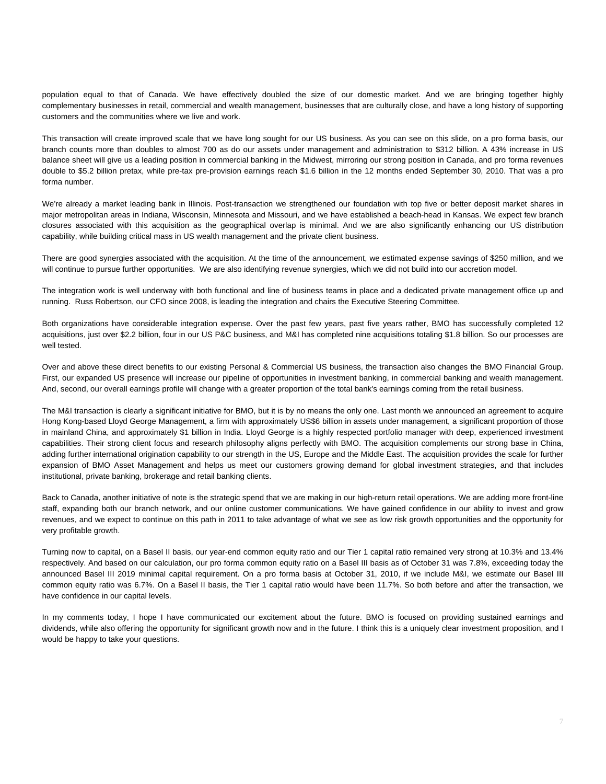population equal to that of Canada. We have effectively doubled the size of our domestic market. And we are bringing together highly complementary businesses in retail, commercial and wealth management, businesses that are culturally close, and have a long history of supporting customers and the communities where we live and work.

This transaction will create improved scale that we have long sought for our US business. As you can see on this slide, on a pro forma basis, our branch counts more than doubles to almost 700 as do our assets under management and administration to \$312 billion. A 43% increase in US balance sheet will give us a leading position in commercial banking in the Midwest, mirroring our strong position in Canada, and pro forma revenues double to \$5.2 billion pretax, while pre-tax pre-provision earnings reach \$1.6 billion in the 12 months ended September 30, 2010. That was a pro forma number.

We're already a market leading bank in Illinois. Post-transaction we strengthened our foundation with top five or better deposit market shares in major metropolitan areas in Indiana, Wisconsin, Minnesota and Missouri, and we have established a beach-head in Kansas. We expect few branch closures associated with this acquisition as the geographical overlap is minimal. And we are also significantly enhancing our US distribution capability, while building critical mass in US wealth management and the private client business.

There are good synergies associated with the acquisition. At the time of the announcement, we estimated expense savings of \$250 million, and we will continue to pursue further opportunities. We are also identifying revenue synergies, which we did not build into our accretion model.

The integration work is well underway with both functional and line of business teams in place and a dedicated private management office up and running. Russ Robertson, our CFO since 2008, is leading the integration and chairs the Executive Steering Committee.

Both organizations have considerable integration expense. Over the past few years, past five years rather, BMO has successfully completed 12 acquisitions, just over \$2.2 billion, four in our US P&C business, and M&I has completed nine acquisitions totaling \$1.8 billion. So our processes are well tested.

Over and above these direct benefits to our existing Personal & Commercial US business, the transaction also changes the BMO Financial Group. First, our expanded US presence will increase our pipeline of opportunities in investment banking, in commercial banking and wealth management. And, second, our overall earnings profile will change with a greater proportion of the total bank's earnings coming from the retail business.

The M&I transaction is clearly a significant initiative for BMO, but it is by no means the only one. Last month we announced an agreement to acquire Hong Kong-based Lloyd George Management, a firm with approximately US\$6 billion in assets under management, a significant proportion of those in mainland China, and approximately \$1 billion in India. Lloyd George is a highly respected portfolio manager with deep, experienced investment capabilities. Their strong client focus and research philosophy aligns perfectly with BMO. The acquisition complements our strong base in China, adding further international origination capability to our strength in the US, Europe and the Middle East. The acquisition provides the scale for further expansion of BMO Asset Management and helps us meet our customers growing demand for global investment strategies, and that includes institutional, private banking, brokerage and retail banking clients.

Back to Canada, another initiative of note is the strategic spend that we are making in our high-return retail operations. We are adding more front-line staff, expanding both our branch network, and our online customer communications. We have gained confidence in our ability to invest and grow revenues, and we expect to continue on this path in 2011 to take advantage of what we see as low risk growth opportunities and the opportunity for very profitable growth.

Turning now to capital, on a Basel II basis, our year-end common equity ratio and our Tier 1 capital ratio remained very strong at 10.3% and 13.4% respectively. And based on our calculation, our pro forma common equity ratio on a Basel III basis as of October 31 was 7.8%, exceeding today the announced Basel III 2019 minimal capital requirement. On a pro forma basis at October 31, 2010, if we include M&I, we estimate our Basel III common equity ratio was 6.7%. On a Basel II basis, the Tier 1 capital ratio would have been 11.7%. So both before and after the transaction, we have confidence in our capital levels.

In my comments today, I hope I have communicated our excitement about the future. BMO is focused on providing sustained earnings and dividends, while also offering the opportunity for significant growth now and in the future. I think this is a uniquely clear investment proposition, and I would be happy to take your questions.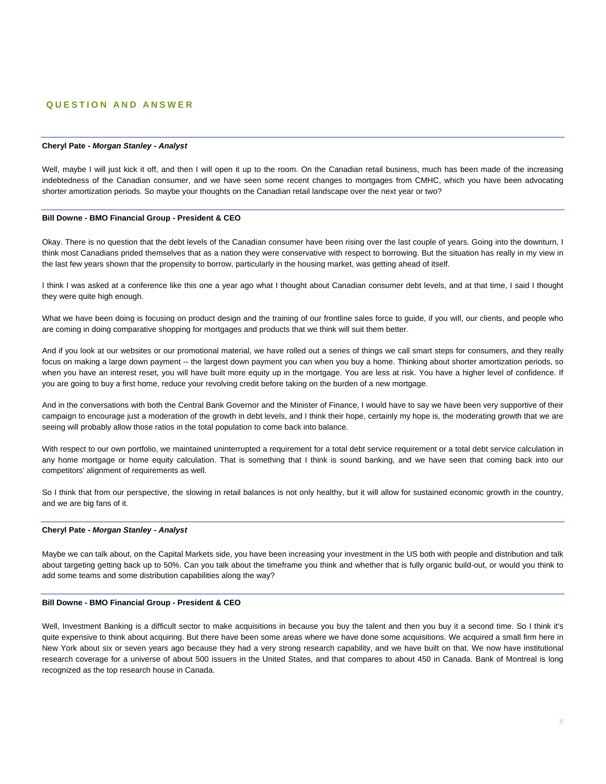# **QUESTION AND ANSWER**

#### **Cheryl Pate -** *Morgan Stanley - Analyst*

Well, maybe I will just kick it off, and then I will open it up to the room. On the Canadian retail business, much has been made of the increasing indebtedness of the Canadian consumer, and we have seen some recent changes to mortgages from CMHC, which you have been advocating shorter amortization periods. So maybe your thoughts on the Canadian retail landscape over the next year or two?

#### **Bill Downe - BMO Financial Group - President & CEO**

Okay. There is no question that the debt levels of the Canadian consumer have been rising over the last couple of years. Going into the downturn, I think most Canadians prided themselves that as a nation they were conservative with respect to borrowing. But the situation has really in my view in the last few years shown that the propensity to borrow, particularly in the housing market, was getting ahead of itself.

I think I was asked at a conference like this one a year ago what I thought about Canadian consumer debt levels, and at that time, I said I thought they were quite high enough.

What we have been doing is focusing on product design and the training of our frontline sales force to guide, if you will, our clients, and people who are coming in doing comparative shopping for mortgages and products that we think will suit them better.

And if you look at our websites or our promotional material, we have rolled out a series of things we call smart steps for consumers, and they really focus on making a large down payment -- the largest down payment you can when you buy a home. Thinking about shorter amortization periods, so when you have an interest reset, you will have built more equity up in the mortgage. You are less at risk. You have a higher level of confidence. If you are going to buy a first home, reduce your revolving credit before taking on the burden of a new mortgage.

And in the conversations with both the Central Bank Governor and the Minister of Finance, I would have to say we have been very supportive of their campaign to encourage just a moderation of the growth in debt levels, and I think their hope, certainly my hope is, the moderating growth that we are seeing will probably allow those ratios in the total population to come back into balance.

With respect to our own portfolio, we maintained uninterrupted a requirement for a total debt service requirement or a total debt service calculation in any home mortgage or home equity calculation. That is something that I think is sound banking, and we have seen that coming back into our competitors' alignment of requirements as well.

So I think that from our perspective, the slowing in retail balances is not only healthy, but it will allow for sustained economic growth in the country, and we are big fans of it.

#### **Cheryl Pate -** *Morgan Stanley - Analyst*

Maybe we can talk about, on the Capital Markets side, you have been increasing your investment in the US both with people and distribution and talk about targeting getting back up to 50%. Can you talk about the timeframe you think and whether that is fully organic build-out, or would you think to add some teams and some distribution capabilities along the way?

## **Bill Downe - BMO Financial Group - President & CEO**

Well, Investment Banking is a difficult sector to make acquisitions in because you buy the talent and then you buy it a second time. So I think it's quite expensive to think about acquiring. But there have been some areas where we have done some acquisitions. We acquired a small firm here in New York about six or seven years ago because they had a very strong research capability, and we have built on that. We now have institutional research coverage for a universe of about 500 issuers in the United States, and that compares to about 450 in Canada. Bank of Montreal is long recognized as the top research house in Canada.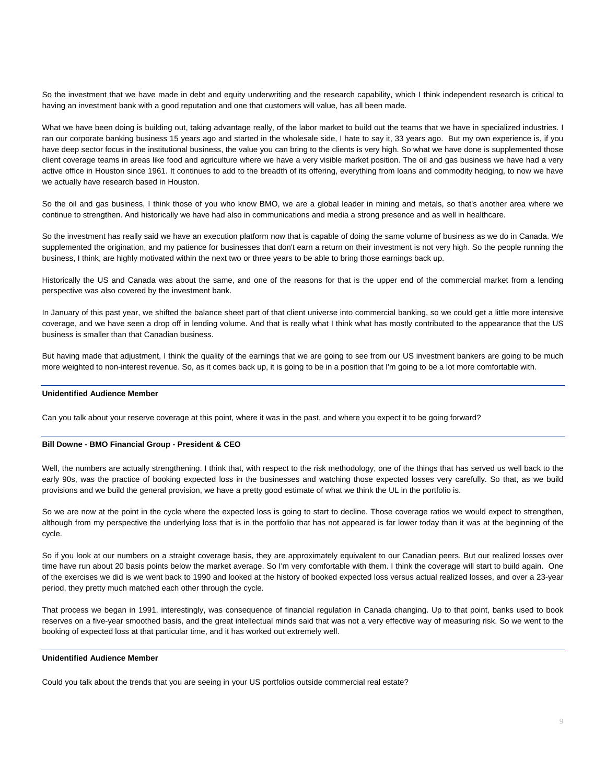So the investment that we have made in debt and equity underwriting and the research capability, which I think independent research is critical to having an investment bank with a good reputation and one that customers will value, has all been made.

What we have been doing is building out, taking advantage really, of the labor market to build out the teams that we have in specialized industries. I ran our corporate banking business 15 years ago and started in the wholesale side, I hate to say it, 33 years ago. But my own experience is, if you have deep sector focus in the institutional business, the value you can bring to the clients is very high. So what we have done is supplemented those client coverage teams in areas like food and agriculture where we have a very visible market position. The oil and gas business we have had a very active office in Houston since 1961. It continues to add to the breadth of its offering, everything from loans and commodity hedging, to now we have we actually have research based in Houston.

So the oil and gas business, I think those of you who know BMO, we are a global leader in mining and metals, so that's another area where we continue to strengthen. And historically we have had also in communications and media a strong presence and as well in healthcare.

So the investment has really said we have an execution platform now that is capable of doing the same volume of business as we do in Canada. We supplemented the origination, and my patience for businesses that don't earn a return on their investment is not very high. So the people running the business, I think, are highly motivated within the next two or three years to be able to bring those earnings back up.

Historically the US and Canada was about the same, and one of the reasons for that is the upper end of the commercial market from a lending perspective was also covered by the investment bank.

In January of this past year, we shifted the balance sheet part of that client universe into commercial banking, so we could get a little more intensive coverage, and we have seen a drop off in lending volume. And that is really what I think what has mostly contributed to the appearance that the US business is smaller than that Canadian business.

But having made that adjustment, I think the quality of the earnings that we are going to see from our US investment bankers are going to be much more weighted to non-interest revenue. So, as it comes back up, it is going to be in a position that I'm going to be a lot more comfortable with.

## **Unidentified Audience Member**

Can you talk about your reserve coverage at this point, where it was in the past, and where you expect it to be going forward?

#### **Bill Downe - BMO Financial Group - President & CEO**

Well, the numbers are actually strengthening. I think that, with respect to the risk methodology, one of the things that has served us well back to the early 90s, was the practice of booking expected loss in the businesses and watching those expected losses very carefully. So that, as we build provisions and we build the general provision, we have a pretty good estimate of what we think the UL in the portfolio is.

So we are now at the point in the cycle where the expected loss is going to start to decline. Those coverage ratios we would expect to strengthen, although from my perspective the underlying loss that is in the portfolio that has not appeared is far lower today than it was at the beginning of the cycle.

So if you look at our numbers on a straight coverage basis, they are approximately equivalent to our Canadian peers. But our realized losses over time have run about 20 basis points below the market average. So I'm very comfortable with them. I think the coverage will start to build again. One of the exercises we did is we went back to 1990 and looked at the history of booked expected loss versus actual realized losses, and over a 23-year period, they pretty much matched each other through the cycle.

That process we began in 1991, interestingly, was consequence of financial regulation in Canada changing. Up to that point, banks used to book reserves on a five-year smoothed basis, and the great intellectual minds said that was not a very effective way of measuring risk. So we went to the booking of expected loss at that particular time, and it has worked out extremely well.

# **Unidentified Audience Member**

Could you talk about the trends that you are seeing in your US portfolios outside commercial real estate?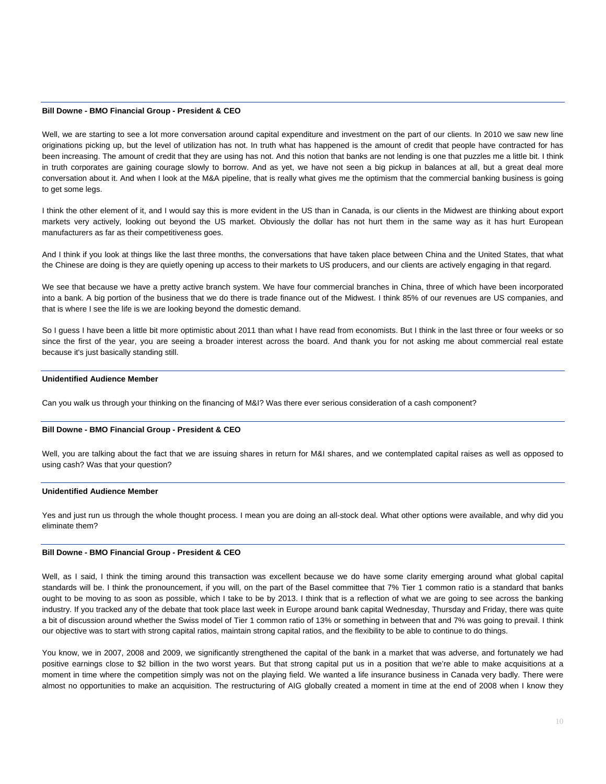#### **Bill Downe - BMO Financial Group - President & CEO**

Well, we are starting to see a lot more conversation around capital expenditure and investment on the part of our clients. In 2010 we saw new line originations picking up, but the level of utilization has not. In truth what has happened is the amount of credit that people have contracted for has been increasing. The amount of credit that they are using has not. And this notion that banks are not lending is one that puzzles me a little bit. I think in truth corporates are gaining courage slowly to borrow. And as yet, we have not seen a big pickup in balances at all, but a great deal more conversation about it. And when I look at the M&A pipeline, that is really what gives me the optimism that the commercial banking business is going to get some legs.

I think the other element of it, and I would say this is more evident in the US than in Canada, is our clients in the Midwest are thinking about export markets very actively, looking out beyond the US market. Obviously the dollar has not hurt them in the same way as it has hurt European manufacturers as far as their competitiveness goes.

And I think if you look at things like the last three months, the conversations that have taken place between China and the United States, that what the Chinese are doing is they are quietly opening up access to their markets to US producers, and our clients are actively engaging in that regard.

We see that because we have a pretty active branch system. We have four commercial branches in China, three of which have been incorporated into a bank. A big portion of the business that we do there is trade finance out of the Midwest. I think 85% of our revenues are US companies, and that is where I see the life is we are looking beyond the domestic demand.

So I guess I have been a little bit more optimistic about 2011 than what I have read from economists. But I think in the last three or four weeks or so since the first of the year, you are seeing a broader interest across the board. And thank you for not asking me about commercial real estate because it's just basically standing still.

#### **Unidentified Audience Member**

Can you walk us through your thinking on the financing of M&I? Was there ever serious consideration of a cash component?

#### **Bill Downe - BMO Financial Group - President & CEO**

Well, you are talking about the fact that we are issuing shares in return for M&I shares, and we contemplated capital raises as well as opposed to using cash? Was that your question?

# **Unidentified Audience Member**

Yes and just run us through the whole thought process. I mean you are doing an all-stock deal. What other options were available, and why did you eliminate them?

#### **Bill Downe - BMO Financial Group - President & CEO**

Well, as I said, I think the timing around this transaction was excellent because we do have some clarity emerging around what global capital standards will be. I think the pronouncement, if you will, on the part of the Basel committee that 7% Tier 1 common ratio is a standard that banks ought to be moving to as soon as possible, which I take to be by 2013. I think that is a reflection of what we are going to see across the banking industry. If you tracked any of the debate that took place last week in Europe around bank capital Wednesday, Thursday and Friday, there was quite a bit of discussion around whether the Swiss model of Tier 1 common ratio of 13% or something in between that and 7% was going to prevail. I think our objective was to start with strong capital ratios, maintain strong capital ratios, and the flexibility to be able to continue to do things.

You know, we in 2007, 2008 and 2009, we significantly strengthened the capital of the bank in a market that was adverse, and fortunately we had positive earnings close to \$2 billion in the two worst years. But that strong capital put us in a position that we're able to make acquisitions at a moment in time where the competition simply was not on the playing field. We wanted a life insurance business in Canada very badly. There were almost no opportunities to make an acquisition. The restructuring of AIG globally created a moment in time at the end of 2008 when I know they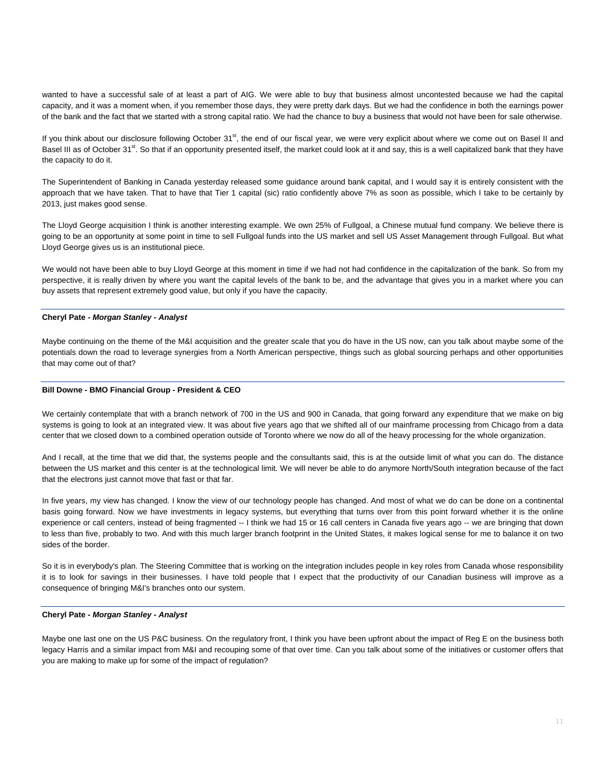wanted to have a successful sale of at least a part of AIG. We were able to buy that business almost uncontested because we had the capital capacity, and it was a moment when, if you remember those days, they were pretty dark days. But we had the confidence in both the earnings power of the bank and the fact that we started with a strong capital ratio. We had the chance to buy a business that would not have been for sale otherwise.

If you think about our disclosure following October  $31<sup>st</sup>$ , the end of our fiscal year, we were very explicit about where we come out on Basel II and Basel III as of October  $31^{st}$ . So that if an opportunity presented itself, the market could look at it and say, this is a well capitalized bank that they have the capacity to do it.

The Superintendent of Banking in Canada yesterday released some guidance around bank capital, and I would say it is entirely consistent with the approach that we have taken. That to have that Tier 1 capital (sic) ratio confidently above 7% as soon as possible, which I take to be certainly by 2013, just makes good sense.

The Lloyd George acquisition I think is another interesting example. We own 25% of Fullgoal, a Chinese mutual fund company. We believe there is going to be an opportunity at some point in time to sell Fullgoal funds into the US market and sell US Asset Management through Fullgoal. But what Lloyd George gives us is an institutional piece.

We would not have been able to buy Lloyd George at this moment in time if we had not had confidence in the capitalization of the bank. So from my perspective, it is really driven by where you want the capital levels of the bank to be, and the advantage that gives you in a market where you can buy assets that represent extremely good value, but only if you have the capacity.

# **Cheryl Pate -** *Morgan Stanley - Analyst*

Maybe continuing on the theme of the M&I acquisition and the greater scale that you do have in the US now, can you talk about maybe some of the potentials down the road to leverage synergies from a North American perspective, things such as global sourcing perhaps and other opportunities that may come out of that?

#### **Bill Downe - BMO Financial Group - President & CEO**

We certainly contemplate that with a branch network of 700 in the US and 900 in Canada, that going forward any expenditure that we make on big systems is going to look at an integrated view. It was about five years ago that we shifted all of our mainframe processing from Chicago from a data center that we closed down to a combined operation outside of Toronto where we now do all of the heavy processing for the whole organization.

And I recall, at the time that we did that, the systems people and the consultants said, this is at the outside limit of what you can do. The distance between the US market and this center is at the technological limit. We will never be able to do anymore North/South integration because of the fact that the electrons just cannot move that fast or that far.

In five years, my view has changed. I know the view of our technology people has changed. And most of what we do can be done on a continental basis going forward. Now we have investments in legacy systems, but everything that turns over from this point forward whether it is the online experience or call centers, instead of being fragmented -- I think we had 15 or 16 call centers in Canada five years ago -- we are bringing that down to less than five, probably to two. And with this much larger branch footprint in the United States, it makes logical sense for me to balance it on two sides of the border.

So it is in everybody's plan. The Steering Committee that is working on the integration includes people in key roles from Canada whose responsibility it is to look for savings in their businesses. I have told people that I expect that the productivity of our Canadian business will improve as a consequence of bringing M&I's branches onto our system.

#### **Cheryl Pate -** *Morgan Stanley - Analyst*

Maybe one last one on the US P&C business. On the regulatory front, I think you have been upfront about the impact of Reg E on the business both legacy Harris and a similar impact from M&I and recouping some of that over time. Can you talk about some of the initiatives or customer offers that you are making to make up for some of the impact of regulation?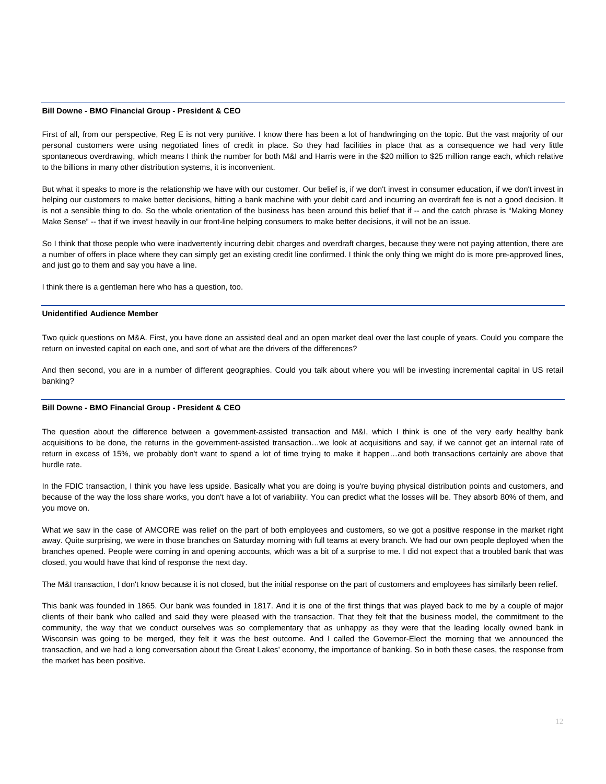#### **Bill Downe - BMO Financial Group - President & CEO**

First of all, from our perspective, Reg E is not very punitive. I know there has been a lot of handwringing on the topic. But the vast majority of our personal customers were using negotiated lines of credit in place. So they had facilities in place that as a consequence we had very little spontaneous overdrawing, which means I think the number for both M&I and Harris were in the \$20 million to \$25 million range each, which relative to the billions in many other distribution systems, it is inconvenient.

But what it speaks to more is the relationship we have with our customer. Our belief is, if we don't invest in consumer education, if we don't invest in helping our customers to make better decisions, hitting a bank machine with your debit card and incurring an overdraft fee is not a good decision. It is not a sensible thing to do. So the whole orientation of the business has been around this belief that if -- and the catch phrase is "Making Money Make Sense" -- that if we invest heavily in our front-line helping consumers to make better decisions, it will not be an issue.

So I think that those people who were inadvertently incurring debit charges and overdraft charges, because they were not paying attention, there are a number of offers in place where they can simply get an existing credit line confirmed. I think the only thing we might do is more pre-approved lines, and just go to them and say you have a line.

I think there is a gentleman here who has a question, too.

#### **Unidentified Audience Member**

Two quick questions on M&A. First, you have done an assisted deal and an open market deal over the last couple of years. Could you compare the return on invested capital on each one, and sort of what are the drivers of the differences?

And then second, you are in a number of different geographies. Could you talk about where you will be investing incremental capital in US retail banking?

## **Bill Downe - BMO Financial Group - President & CEO**

The question about the difference between a government-assisted transaction and M&I, which I think is one of the very early healthy bank acquisitions to be done, the returns in the government-assisted transaction…we look at acquisitions and say, if we cannot get an internal rate of return in excess of 15%, we probably don't want to spend a lot of time trying to make it happen…and both transactions certainly are above that hurdle rate.

In the FDIC transaction, I think you have less upside. Basically what you are doing is you're buying physical distribution points and customers, and because of the way the loss share works, you don't have a lot of variability. You can predict what the losses will be. They absorb 80% of them, and you move on.

What we saw in the case of AMCORE was relief on the part of both employees and customers, so we got a positive response in the market right away. Quite surprising, we were in those branches on Saturday morning with full teams at every branch. We had our own people deployed when the branches opened. People were coming in and opening accounts, which was a bit of a surprise to me. I did not expect that a troubled bank that was closed, you would have that kind of response the next day.

The M&I transaction, I don't know because it is not closed, but the initial response on the part of customers and employees has similarly been relief.

This bank was founded in 1865. Our bank was founded in 1817. And it is one of the first things that was played back to me by a couple of major clients of their bank who called and said they were pleased with the transaction. That they felt that the business model, the commitment to the community, the way that we conduct ourselves was so complementary that as unhappy as they were that the leading locally owned bank in Wisconsin was going to be merged, they felt it was the best outcome. And I called the Governor-Elect the morning that we announced the transaction, and we had a long conversation about the Great Lakes' economy, the importance of banking. So in both these cases, the response from the market has been positive.